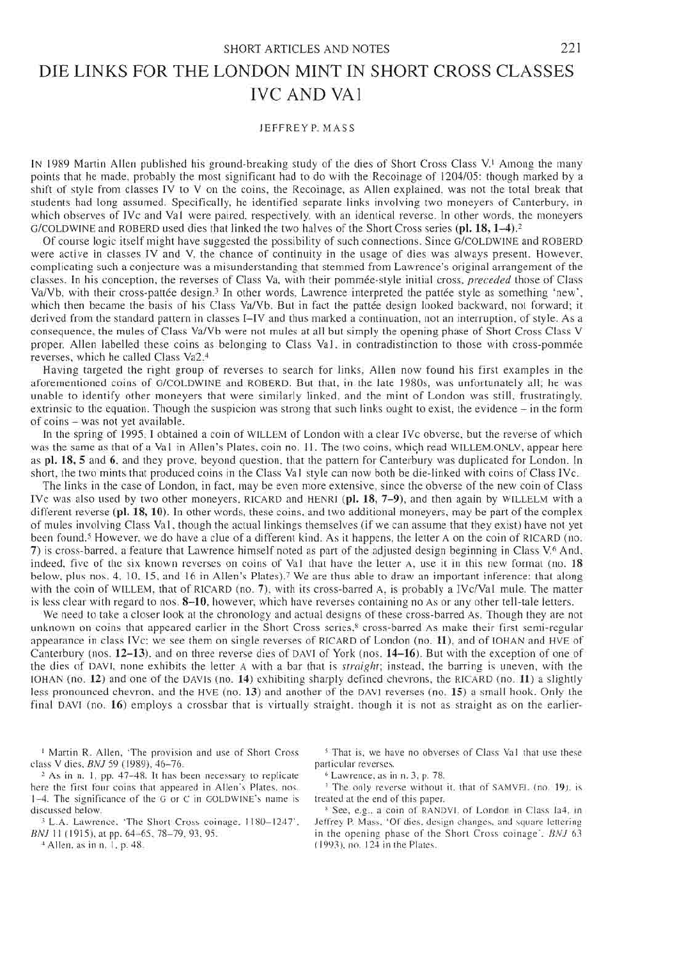**SHORT ARTICLES AND NOTES** 22 1

# **DIE LINKS FOR THE LONDON MINT IN SHORT CROSS CLASSES IVC AND VA1**

#### JEFFREY P. MASS

**IN 1989 Martin Allen published his ground-breaking study of the dies of Short Cross Class V.<sup>1</sup> Among the many points that he made, probably the most significant had to do with the Recoinage of 1204/05: though marked by a shift of style from classes IV to V on the coins, the Recoinage, as Allen explained, was not the total break that students had long assumed. Specifically, he identified separate links involving two moneyers of Canterbury, in which observes of IVc and Val were paired, respectively, with an identical reverse. In other words, the moneyers**  G/COLDWINE **and** ROBERD **used dies that linked the two halves of the Short Cross series** (pl. 18,1-4). <sup>2</sup>

**Of course logic itself might have suggested the possibility of such connections. Since** G/COLDWINE **and** ROBERD **were active in classes IV and V, the chance of continuity in the usage of dies was always present. However, complicating such a conjecture was a misunderstanding that stemmed from Lawrence's original arrangement of the classes. In his conception, the reverses of Class Va, with their pommee-style initial cross,** *preceded* **those of Class**  Va/Vb, with their cross-pattée design.<sup>3</sup> In other words, Lawrence interpreted the pattée style as something 'new', which then became the basis of his Class Va/Vb. But in fact the pattee design looked backward, not forward; it **derived from the standard pattern in classes I-IV and thus marked a continuation, not an interruption, of style. As a consequence, the mules of Class Va/Vb were not mules at all but simply the opening phase of Short Cross Class V proper. Allen labelled these coins as belonging to Class Val, in contradistinction to those with cross-pommee reverses, which he called Class Va2.<sup>4</sup>**

**Having targeted the right group of reverses to search for links, Allen now found his first examples in the aforementioned coins of** G/COLDWINE **and** ROBERD. **But that, in the late 1980s, was unfortunately all; he was unable to identify other moneyers that were similarly linked, and the mint of London was still, frustratingly,**  extrinsic to the equation. Though the suspicion was strong that such links ought to exist, the evidence – in the form **of coins - was not yet available.** 

**In the spring of 1995,**1 **obtained a coin of** WILLEM **of London with a clear IVc obverse, but the reverse of which was the same as that of a Val in Allen's Plates, coin no. 11. The two coins, which read** WILLEM.ONLV, **appear here as** pl. 18, 5 **and** 6. **and they prove, beyond question, that the pattern for Canterbury was duplicated for London. In short, the two mints that produced coins in the Class Val style can now both be die-linked with coins of Class IVc.** 

**The links in the case of London, in fact, may be even more extensive, since the obverse of the new coin of Class IVc was also used by two other moneyers,** RICARD **and** HENRI (pl. 18, **7-9), and then again by** WILLELM **with a different reverse** (pl. 18,10). **In other words, these coins, and two additional moneyers, may be part of the complex of mules involving Class Val, though the actual linkings themselves (if we can assume that they exist) have not yet been found.5 However, we do have a clue of a different kind. As it happens, the letter** A **on the coin of** RICARD **(no. 7) is cross-barred, a feature that Lawrence himself noted as part of the adjusted design beginning in Class V.<sup>6</sup> And, indeed, five of the six known reverses on coins of Val that have the letter** A, **use it in this new format (no.** 18 **below, plus nos. 4, 10, 15, and 16 in Allen's Plates).<sup>7</sup> We are thus able to draw an important inference: that along with the coin of** WILLEM, **that of** RICARD **(no. 7), with its cross-barred** A, **is probably a IVc/Val mule. The matter is less clear with regard to nos.** 8-10, **however, which have reverses containing no** As **or any other tell-tale letters.** 

**We need to take a closer look at the chronology and actual designs of these cross-barred** As. **Though they are not unknown on coins that appeared earlier in the Short Cross series,<sup>8</sup> cross-barred** As **make their first semi-regular appearance in class IVc; we see them on single reverses of** RICARD **of London (no.** 11), **and of** IOHAN **and** HVE **of Canterbury (nos.** 12-13), **and on three reverse dies of** DAVI **of York (nos.** 14-16). **But with the exception of one of the dies of** DAVI, **none exhibits the letter** A **with a bar that is** *straight;* **instead, the barring is uneven, with the**  IOHAN **(no.** 12) **and one of the** DAVIs **(no.** 14) **exhibiting sharply defined chevrons, the** RICARD **(no.** 11) **a slightly less pronounced chevron, and the** HVE **(no.** 13) **and another of the** DAVI **reverses (no.** 15) **a small hook. Only the final** DAVI **(no.** 16) **employs a crossbar that** is **virtually straight, though it is not as straight as on the earlier-**

1 Martin R. Allen, 'The provision and use of Short Cross class V dies, *BNJ* 59 (1989), 46-76. 2

 As in n. 1. pp. 47-48. It has been necessary to replicate here the first four coins that appeared in Allen's Plates, nos. 1-4. The significance of the G or C in GOLDWINE's name is discussed below.

 L.A. Lawrence, 'The Short Cross coinage. 1180-1247', *BNJ* 11 (1915), at pp. 64-65, 78-79, 93, 95.

Allen, as in n. 1, p. 48.

5 That is, we have no obverses of Class Val that use these particular reverses. 6

 $6$  Lawrence, as in n. 3, p. 78.

<sup>1</sup> The only reverse without it, that of SAMVEL (no. 191, is treated at the end of this paper.

 See, e.g., a coin of RANDVL of London in Class Ia4, in Jeffrey P. Mass, 'Of dies, design changes, and square lettering in the opening phase of the Short Cross coinage', *BNJ* 63 (1993), no. 124 in the Plates.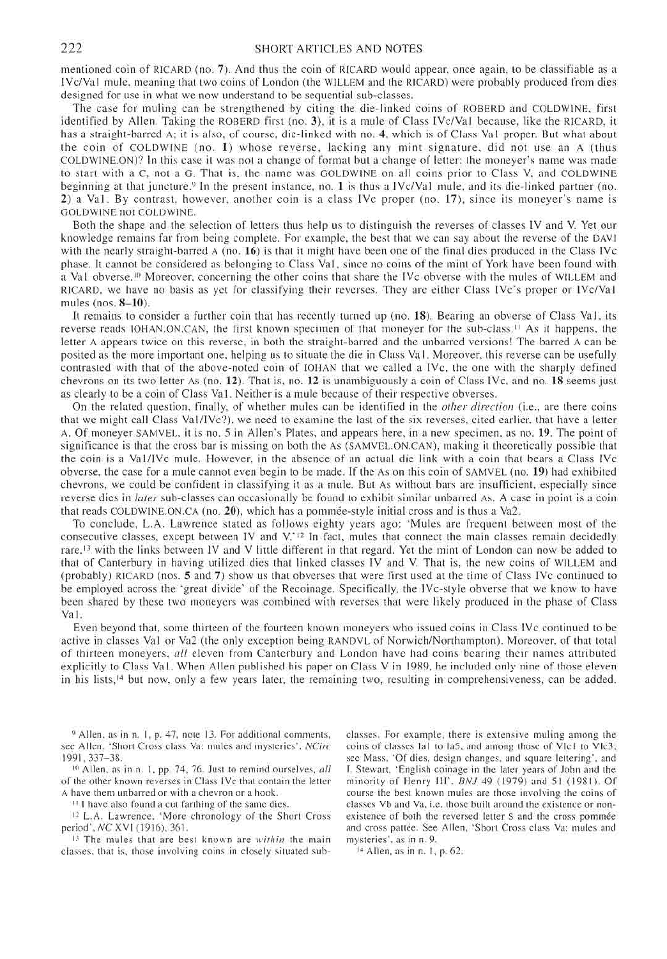### 222 SHORT ARTICLES AND NOTES

mentioned coin of RICARD (no. 7). And thus the coin of RICARD would appear, once again, to be classifiable as a IVc/Val mule, meaning that two coins of London (the WILLEM and the RICARD) were probably produced from dies designed for use in what we now understand to be sequential sub-classes.

**The case for muling can be strengthened by citing the die-linked coins of** ROBERD **and** COLDWINE, **first identified by Allen. Taking the** ROBERD **first (no.** 3), **it is a mule of Class IVc/Val because, like the** RICARD, **it has a straight-barred** A; **it is also, of course, die-linked with no. 4, which is of Class Val proper. But what about the coin of** COLDWINE **(no. 1) whose reverse, lacking any mint signature, did not use an** A **(thus**  COLDWINE.ON)? **In this case it was not a change of format but a change of letter: the moneyer's name was made to start with a** C, **not a** G. **That is, the name was** GOLDWINE **on all coins prior to Class V, and** COLDWINE **beginning at that juncture.<sup>9</sup> In the present instance, no. 1 is thus a IVc/Val mule, and its die-linked partner (no. 2) a Val. By contrast, however, another coin is a class IVc proper (no. 17), since its moneyer's name is**  GOLDWINE **not** COLDWINE.

**Both the shape and the selection of letters thus help us to distinguish the reverses of classes IV and V. Yet our knowledge remains far from being complete. For example, the best that we can say about the reverse of the** DAVI **with the nearly straight-barred** A **(no. 16) is that it might have been one of the final dies produced in the Class IVc phase. It cannot be considered as belonging to Class Val, since no coins of the mint of York have been found with a Val obverse.<sup>1</sup> " Moreover, concerning the other coins that share the IVc obverse with the mules of** WILLEM **and**  RICARD, **we have no basis as yet for classifying their reverses. They are either Class IVc's proper or IVc/Val mules (nos. 8-10).** 

**It remains to consider a further coin that has recently turned up (no. 18). Bearing an obverse of Class Val, its reverse reads** lOHAN.ON.CAN, **the first known specimen of that moneyer for the sub-class.<sup>11</sup> As it happens, the letter** A **appears twice on this reverse, in both the straight-barred and the unbarred versions! The barred** A **can be posited as the more important one, helping us to situate the die in Class Val. Moreover, this reverse can be usefully contrasted with that of the above-noted coin of** IOHAN **that we called a IVc, the one with the sharply defined chevrons on its two letter** As **(no. 12). That is, no. 12 is unambiguously a coin of Class IVc, and no. 18 seems just as clearly to be a coin of Class Val. Neither is a mule because of their respective obverses.** 

**On the related question, finally, of whether mules can be identified in the** *other direction* **(i.e., are there coins that we might call Class Val/IVc?), we need to examine the last of the six reverses, cited earlier, that have a letter**  A. **Of moneyer** SAMVEL, **it is no.** 5 **in Allen's Plates, and appears here, in a new specimen, as no. 19. The point of significance is that the cross bar is missing on both the** As (SAMVEL.ON.CAN), **making it theoretically possible that the coin is a Val/IVc mule. However, in the absence of an actual die link with a coin that bears a Class IVc obverse, the case for a mule cannot even begin to be made. If the** As **on this coin of** SAMVEL **(no. 19) had exhibited chevrons, we could be confident in classifying it as a mule. But** As **without bars are insufficient, especially since reverse dies in** *later* **sub-classes can occasionally be found to exhibit similar unbarred** As. **A case in point is a coin that reads** COLDWINE.ON.CA **(no. 20), which has a pommee-style initial cross and is thus a Va2.** 

**To conclude, L.A. Lawrence stated as follows eighty years ago: 'Mules are frequent between most of the**  consecutive classes, except between IV and V.<sup>\*12</sup> In fact, mules that connect the main classes remain decidedly **rare,<sup>13</sup> with the links between IV and V little different in that regard. Yet the mint of London can now be added to that of Canterbury in having utilized dies that linked classes IV and V. That is, the new coins of** WILLEM **and (probably)** RICARD **(nos. 5 and 7) show us that obverses that were first used at the time of Class IVc continued to be employed across the 'great divide' of the Recoinage. Specifically, the IVc-style obverse that we know to have been shared by these two moneyers was combined with reverses that were likely produced in the phase of Class Val.** 

**Even beyond that, some thirteen of the fourteen known moneyers who issued coins in Class IVc continued to be active in classes Val or Va2 (the only exception being** RANDVL **of Norwich/Northampton). Moreover, of that total of thirteen moneyers,** *all* **eleven from Canterbury and London have had coins bearing their names attributed explicitly to Class Val. When Allen published his paper on Class V in 1989, he included only nine of those eleven in his lists,<sup>14</sup> but now, only a few years later, the remaining two, resulting in comprehensiveness, can be added.** 

9 Allen, as in n. 1, p. 47, note 13. For additional comments, see Allen, 'Short Cross class Va: mules and mysteries', *NCirc*  1991, 337-38.

 Allen, as in n. 1, pp. 74, 76. Just to remind ourselves, *all*  of the other known reverses in Class IVc that contain the letter A have them unbarred or with a chevron or a hook.

 $\vert$  H ave also found a cut farthing of the same dies.

 L.A. Lawrence, 'More chronology of the Short Cross period', *NC* XVI (1916), 361.

 The mules that are best known are *within* the main classes, that is, those involving coins in closely situated subclasses. For example, there is extensive muling among the coins of classes Ial to Ia5, and among those of VIcl to VIc3; see Mass, 'Of dies, design changes, and square lettering', and I. Stewart, 'English coinage in the later years of John and the minority of Henry III', *BNJ* 49 (1979) and 51 (1981). Of course the best known mules are those involving the coins of classes Vb and Va, i.e. those built around the existence or nonexistence of both the reversed letter S and the cross pommee and cross pattée. See Allen, 'Short Cross class Va: mules and mysteries', as in n. 9.

1 4 Allen, as in n. 1, p. 62.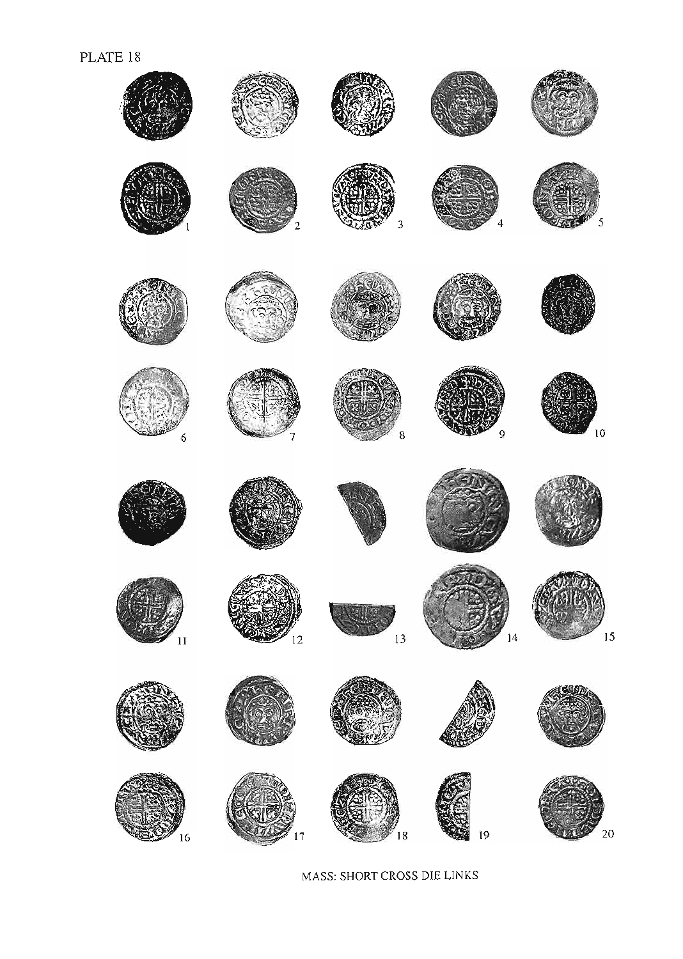

MASS: SHORT CROSS DIE LINKS